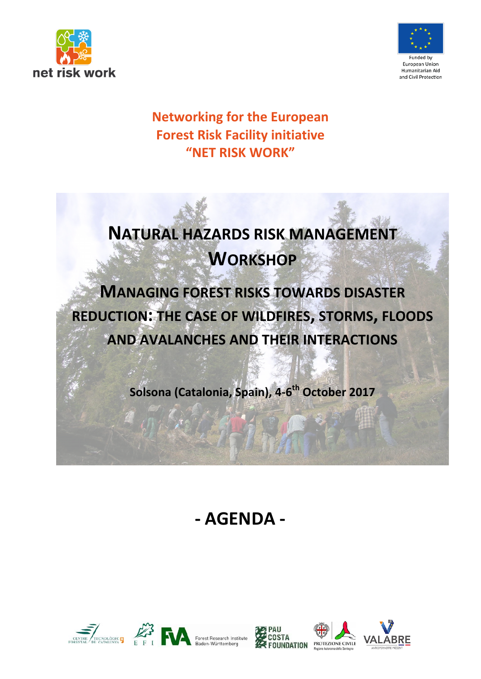



## **Networking for the European Forest Risk Facility initiative "NET RISK WORK"**

# **NATURAL HAZARDS RISK MANAGEMENT WORKSHOP**

**MANAGING FOREST RISKS TOWARDS DISASTER REDUCTION: THE CASE OF WILDFIRES, STORMS, FLOODS AND AVALANCHES AND THEIR INTERACTIONS**

**Solsona (Catalonia, Spain), 4-6th October 2017**

## **- AGENDA -**





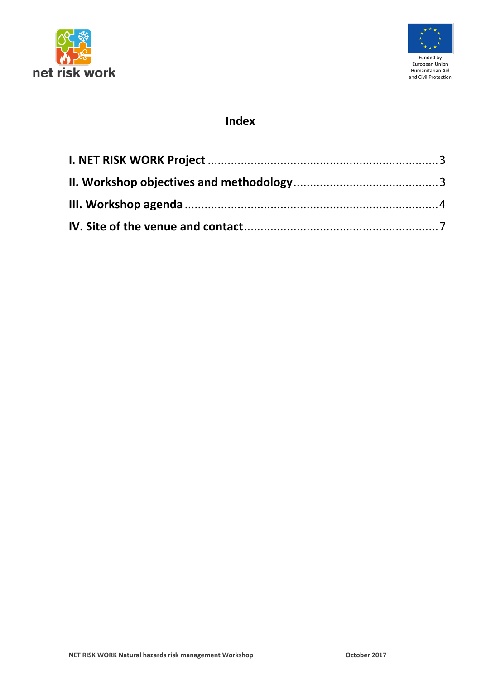



## **Index**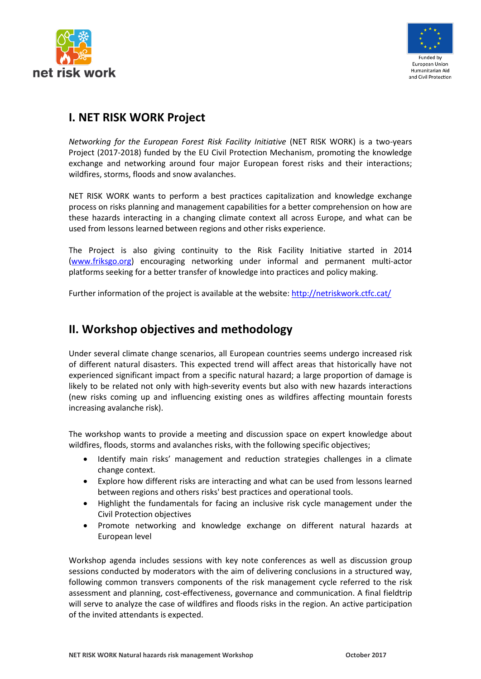



## <span id="page-2-0"></span>**I. NET RISK WORK Project**

*Networking for the European Forest Risk Facility Initiative* (NET RISK WORK) is a two-years Project (2017-2018) funded by the EU Civil Protection Mechanism, promoting the knowledge exchange and networking around four major European forest risks and their interactions; wildfires, storms, floods and snow avalanches.

NET RISK WORK wants to perform a best practices capitalization and knowledge exchange process on risks planning and management capabilities for a better comprehension on how are these hazards interacting in a changing climate context all across Europe, and what can be used from lessons learned between regions and other risks experience.

The Project is also giving continuity to the Risk Facility Initiative started in 2014 [\(www.friksgo.org\)](http://www.friksgo.org/) encouraging networking under informal and permanent multi-actor platforms seeking for a better transfer of knowledge into practices and policy making.

Further information of the project is available at the website:<http://netriskwork.ctfc.cat/>

## <span id="page-2-1"></span>**II. Workshop objectives and methodology**

Under several climate change scenarios, all European countries seems undergo increased risk of different natural disasters. This expected trend will affect areas that historically have not experienced significant impact from a specific natural hazard; a large proportion of damage is likely to be related not only with high-severity events but also with new hazards interactions (new risks coming up and influencing existing ones as wildfires affecting mountain forests increasing avalanche risk).

The workshop wants to provide a meeting and discussion space on expert knowledge about wildfires, floods, storms and avalanches risks, with the following specific objectives;

- Identify main risks' management and reduction strategies challenges in a climate change context.
- Explore how different risks are interacting and what can be used from lessons learned between regions and others risks' best practices and operational tools.
- Highlight the fundamentals for facing an inclusive risk cycle management under the Civil Protection objectives
- Promote networking and knowledge exchange on different natural hazards at European level

Workshop agenda includes sessions with key note conferences as well as discussion group sessions conducted by moderators with the aim of delivering conclusions in a structured way, following common transvers components of the risk management cycle referred to the risk assessment and planning, cost-effectiveness, governance and communication. A final fieldtrip will serve to analyze the case of wildfires and floods risks in the region. An active participation of the invited attendants is expected.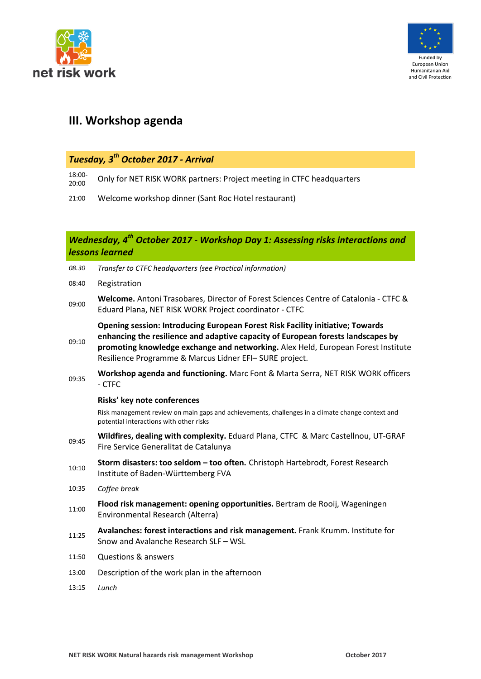



## <span id="page-3-0"></span>**III. Workshop agenda**

## *Tuesday, 3th October 2017 - Arrival*

18:00-

- $\frac{18:00}{20:00}$  Only for NET RISK WORK partners: Project meeting in CTFC headquarters
- 21:00 Welcome workshop dinner (Sant Roc Hotel restaurant)

#### *Wednesday, 4th October 2017 - Workshop Day 1: Assessing risks interactions and lessons learned*

| 08.30 | Transfer to CTFC headquarters (see Practical information)                                                                                                                                                                                                                                                         |
|-------|-------------------------------------------------------------------------------------------------------------------------------------------------------------------------------------------------------------------------------------------------------------------------------------------------------------------|
| 08:40 | Registration                                                                                                                                                                                                                                                                                                      |
| 09:00 | Welcome. Antoni Trasobares, Director of Forest Sciences Centre of Catalonia - CTFC &<br>Eduard Plana, NET RISK WORK Project coordinator - CTFC                                                                                                                                                                    |
| 09:10 | Opening session: Introducing European Forest Risk Facility initiative; Towards<br>enhancing the resilience and adaptive capacity of European forests landscapes by<br>promoting knowledge exchange and networking. Alex Held, European Forest Institute<br>Resilience Programme & Marcus Lidner EFI-SURE project. |
| 09:35 | Workshop agenda and functioning. Marc Font & Marta Serra, NET RISK WORK officers<br>- CTFC                                                                                                                                                                                                                        |
|       | Risks' key note conferences                                                                                                                                                                                                                                                                                       |
|       | Risk management review on main gaps and achievements, challenges in a climate change context and<br>potential interactions with other risks                                                                                                                                                                       |
| 09:45 | Wildfires, dealing with complexity. Eduard Plana, CTFC & Marc Castellnou, UT-GRAF<br>Fire Service Generalitat de Catalunya                                                                                                                                                                                        |
| 10:10 | Storm disasters: too seldom - too often. Christoph Hartebrodt, Forest Research<br>Institute of Baden-Württemberg FVA                                                                                                                                                                                              |
| 10:35 | Coffee break                                                                                                                                                                                                                                                                                                      |
| 11:00 | Flood risk management: opening opportunities. Bertram de Rooij, Wageningen<br>Environmental Research (Alterra)                                                                                                                                                                                                    |
| 11:25 | Avalanches: forest interactions and risk management. Frank Krumm. Institute for<br>Snow and Avalanche Research SLF - WSL                                                                                                                                                                                          |
| 11:50 | <b>Questions &amp; answers</b>                                                                                                                                                                                                                                                                                    |
| 13:00 | Description of the work plan in the afternoon                                                                                                                                                                                                                                                                     |
| 13:15 | Lunch                                                                                                                                                                                                                                                                                                             |
|       |                                                                                                                                                                                                                                                                                                                   |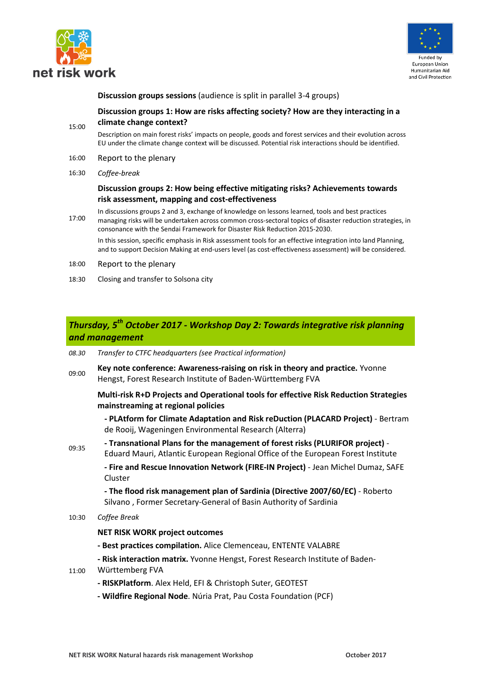



**Discussion groups sessions** (audience is split in parallel 3-4 groups)

#### 15:00 **Discussion groups 1: How are risks affecting society? How are they interacting in a climate change context?**

Description on main forest risks' impacts on people, goods and forest services and their evolution across EU under the climate change context will be discussed. Potential risk interactions should be identified.

- 16:00 Report to the plenary
- 16:30 *Coffee-break*

#### **Discussion groups 2: How being effective mitigating risks? Achievements towards risk assessment, mapping and cost-effectiveness**

- 17:00 In discussions groups 2 and 3, exchange of knowledge on lessons learned, tools and best practices managing risks will be undertaken across common cross-sectoral topics of disaster reduction strategies, in consonance with the Sendai Framework for Disaster Risk Reduction 2015-2030. In this session, specific emphasis in Risk assessment tools for an effective integration into land Planning, and to support Decision Making at end-users level (as cost-effectiveness assessment) will be considered.
- 18:00 Report to the plenary
- 18:30 Closing and transfer to Solsona city

#### *Thursday, 5th October 2017 - Workshop Day 2: Towards integrative risk planning and management*

- *08.30 Transfer to CTFC headquarters (see Practical information)*
- 09:00 **Key note conference: Awareness-raising on risk in theory and practice.** Yvonne Hengst, Forest Research Institute of Baden-Württemberg FVA

**Multi-risk R+D Projects and Operational tools for effective Risk Reduction Strategies mainstreaming at regional policies**

**- PLAtform for Climate Adaptation and Risk reDuction (PLACARD Project)** - Bertram de Rooij, Wageningen Environmental Research (Alterra)

09:35 **- Transnational Plans for the management of forest risks (PLURIFOR project)** - Eduard Mauri, Atlantic European Regional Office of the European Forest Institute

> **- Fire and Rescue Innovation Network (FIRE-IN Project)** - Jean Michel Dumaz, SAFE Cluster

**- The flood risk management plan of Sardinia (Directive 2007/60/EC)** - Roberto Silvano , Former Secretary-General of Basin Authority of Sardinia

10:30 *Coffee Break*

#### **NET RISK WORK project outcomes**

- **- Best practices compilation.** Alice Clemenceau, ENTENTE VALABRE
- **- Risk interaction matrix.** Yvonne Hengst, Forest Research Institute of Baden-
- 11:00 Württemberg FVA
	- **- RISKPlatform**. Alex Held, EFI & Christoph Suter, GEOTEST
	- **- Wildfire Regional Node**. Núria Prat, Pau Costa Foundation (PCF)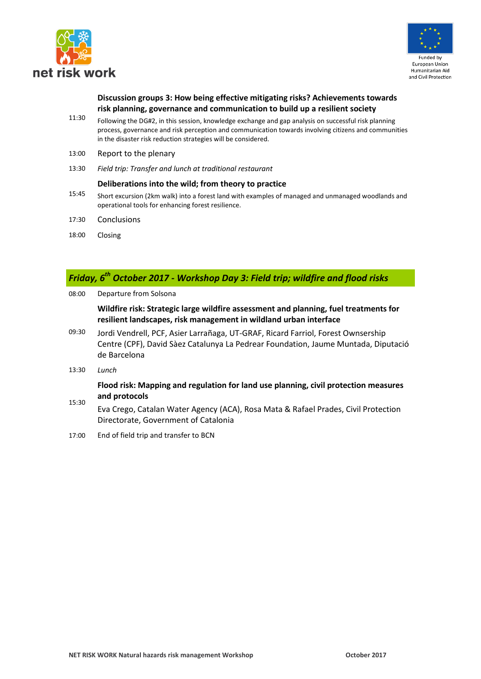



#### **Discussion groups 3: How being effective mitigating risks? Achievements towards risk planning, governance and communication to build up a resilient society**

- 11:30 Following the DG#2, in this session, knowledge exchange and gap analysis on successful risk planning process, governance and risk perception and communication towards involving citizens and communities in the disaster risk reduction strategies will be considered.
- 13:00 Report to the plenary
- 13:30 *Field trip: Transfer and lunch at traditional restaurant*

#### **Deliberations into the wild; from theory to practice**

- 15:45 Short excursion (2km walk) into a forest land with examples of managed and unmanaged woodlands and operational tools for enhancing forest resilience.
- 17:30 Conclusions
- 18:00 Closing

### *Friday, 6th October 2017 - Workshop Day 3: Field trip; wildfire and flood risks*

08:00 Departure from Solsona

**Wildfire risk: Strategic large wildfire assessment and planning, fuel treatments for resilient landscapes, risk management in wildland urban interface**

- 09:30 Jordi Vendrell, PCF, Asier Larrañaga, UT-GRAF, Ricard Farriol, Forest Ownsership Centre (CPF), David Sàez Catalunya La Pedrear Foundation, Jaume Muntada, Diputació de Barcelona
- 13:30 *Lunch*

#### **Flood risk: Mapping and regulation for land use planning, civil protection measures and protocols**

- 15:30 Eva Crego, Catalan Water Agency (ACA), Rosa Mata & Rafael Prades, Civil Protection Directorate, Government of Catalonia
- 17:00 End of field trip and transfer to BCN